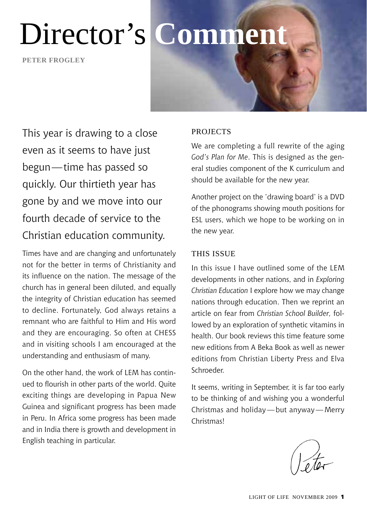**Peter frogley**



This year is drawing to a close even as it seems to have just begun—time has passed so quickly. Our thirtieth year has gone by and we move into our fourth decade of service to the Christian education community.

Times have and are changing and unfortunately not for the better in terms of Christianity and its influence on the nation. The message of the church has in general been diluted, and equally the integrity of Christian education has seemed to decline. Fortunately, God always retains a remnant who are faithful to Him and His word and they are encouraging. So often at CHESS and in visiting schools I am encouraged at the understanding and enthusiasm of many.

On the other hand, the work of LEM has continued to flourish in other parts of the world. Quite exciting things are developing in Papua New Guinea and significant progress has been made in Peru. In Africa some progress has been made and in India there is growth and development in English teaching in particular.

#### **PROJECTS**

We are completing a full rewrite of the aging *God's Plan for Me*. This is designed as the general studies component of the K curriculum and should be available for the new year.

Another project on the 'drawing board' is a DVD of the phonograms showing mouth positions for ESL users, which we hope to be working on in the new year.

#### THIS ISSUE

In this issue I have outlined some of the LEM developments in other nations, and in *Exploring Christian Education* I explore how we may change nations through education. Then we reprint an article on fear from *Christian School Builder,* followed by an exploration of synthetic vitamins in health. Our book reviews this time feature some new editions from A Beka Book as well as newer editions from Christian Liberty Press and Elva Schroeder.

It seems, writing in September, it is far too early to be thinking of and wishing you a wonderful Christmas and holiday—but anyway—Merry Christmas!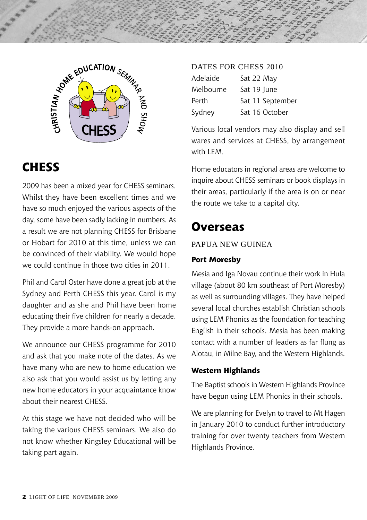



### **CHESS**

2009 has been a mixed year for CHESS seminars. Whilst they have been excellent times and we have so much enjoyed the various aspects of the day, some have been sadly lacking in numbers. As a result we are not planning CHESS for Brisbane or Hobart for 2010 at this time, unless we can be convinced of their viability. We would hope we could continue in those two cities in 2011.

Phil and Carol Oster have done a great job at the Sydney and Perth CHESS this year. Carol is my daughter and as she and Phil have been home educating their five children for nearly a decade, They provide a more hands-on approach.

We announce our CHESS programme for 2010 and ask that you make note of the dates. As we have many who are new to home education we also ask that you would assist us by letting any new home educators in your acquaintance know about their nearest CHESS.

At this stage we have not decided who will be taking the various CHESS seminars. We also do not know whether Kingsley Educational will be taking part again.

#### DATES FOR CHESS 2010 Adelaide Sat 22 May Melbourne Sat 19 June Perth Sat 11 September Sydney Sat 16 October

Various local vendors may also display and sell wares and services at CHESS, by arrangement with LEM.

Home educators in regional areas are welcome to inquire about CHESS seminars or book displays in their areas, particularly if the area is on or near the route we take to a capital city.

### **Overseas**

#### Papua New Guinea

#### **Port Moresby**

Mesia and Iga Novau continue their work in Hula village (about 80 km southeast of Port Moresby) as well as surrounding villages. They have helped several local churches establish Christian schools using LEM Phonics as the foundation for teaching English in their schools. Mesia has been making contact with a number of leaders as far flung as Alotau, in Milne Bay, and the Western Highlands.

#### **Western Highlands**

The Baptist schools in Western Highlands Province have begun using LEM Phonics in their schools.

We are planning for Evelyn to travel to Mt Hagen in January 2010 to conduct further introductory training for over twenty teachers from Western Highlands Province.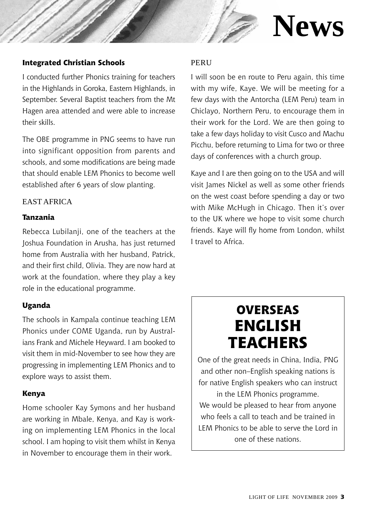

# **News**

#### **Integrated Christian Schools**

I conducted further Phonics training for teachers in the Highlands in Goroka, Eastern Highlands, in September. Several Baptist teachers from the Mt Hagen area attended and were able to increase their skills.

The OBE programme in PNG seems to have run into significant opposition from parents and schools, and some modifications are being made that should enable LEM Phonics to become well established after 6 years of slow planting.

#### East Africa

#### **Tanzania**

Rebecca Lubilanji, one of the teachers at the Joshua Foundation in Arusha, has just returned home from Australia with her husband, Patrick, and their first child, Olivia. They are now hard at work at the foundation, where they play a key role in the educational programme.

#### **Uganda**

The schools in Kampala continue teaching LEM Phonics under COME Uganda, run by Australians Frank and Michele Heyward. I am booked to visit them in mid-November to see how they are progressing in implementing LEM Phonics and to explore ways to assist them.

#### **Kenya**

Home schooler Kay Symons and her husband are working in Mbale, Kenya, and Kay is working on implementing LEM Phonics in the local school. I am hoping to visit them whilst in Kenya in November to encourage them in their work.

#### PERU

I will soon be en route to Peru again, this time with my wife, Kaye. We will be meeting for a few days with the Antorcha (LEM Peru) team in Chiclayo, Northern Peru, to encourage them in their work for the Lord. We are then going to take a few days holiday to visit Cusco and Machu Picchu, before returning to Lima for two or three days of conferences with a church group.

Kaye and I are then going on to the USA and will visit James Nickel as well as some other friends on the west coast before spending a day or two with Mike McHugh in Chicago. Then it's over to the UK where we hope to visit some church friends. Kaye will fly home from London, whilst I travel to Africa.

## **Overseas English Teachers**

One of the great needs in China, India, PNG and other non–English speaking nations is for native English speakers who can instruct

in the LEM Phonics programme. We would be pleased to hear from anyone who feels a call to teach and be trained in LEM Phonics to be able to serve the Lord in one of these nations.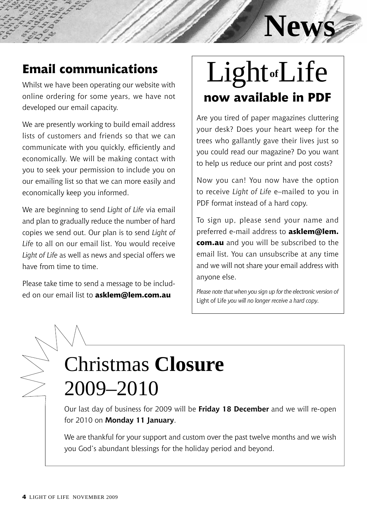# **News**

## **Email communications**

Whilst we have been operating our website with online ordering for some years, we have not developed our email capacity.

We are presently working to build email address lists of customers and friends so that we can communicate with you quickly, efficiently and economically. We will be making contact with you to seek your permission to include you on our emailing list so that we can more easily and economically keep you informed.

We are beginning to send *Light of Life* via email and plan to gradually reduce the number of hard copies we send out. Our plan is to send *Light of Life* to all on our email list. You would receive *Light of Life* as well as news and special offers we have from time to time.

Please take time to send a message to be included on our email list to **asklem@lem.com.au**

# **now available in PDF** Light**of**Life

Are you tired of paper magazines cluttering your desk? Does your heart weep for the trees who gallantly gave their lives just so you could read our magazine? Do you want to help us reduce our print and post costs?

Now you can! You now have the option to receive *Light of Life* e–mailed to you in PDF format instead of a hard copy.

To sign up, please send your name and preferred e-mail address to **asklem@lem. com.au** and you will be subscribed to the email list. You can unsubscribe at any time and we will not share your email address with anyone else.

*Please note that when you sign up for the electronic version of*  Light of Life *you will no longer receive a hard copy.*

## Christmas **Closure** 2009–2010

Our last day of business for 2009 will be **Friday 18 December** and we will re-open for 2010 on **Monday 11 January**.

We are thankful for your support and custom over the past twelve months and we wish you God's abundant blessings for the holiday period and beyond.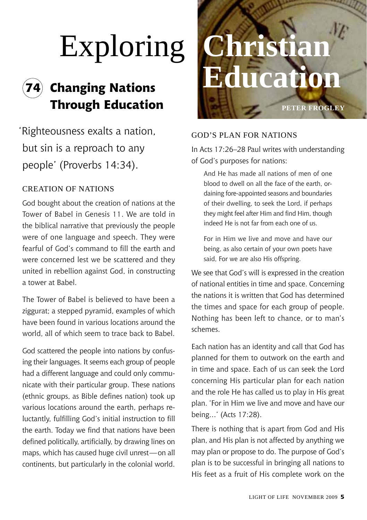# **74 Changing Nations**

 'Righteousness exalts a nation, but sin is a reproach to any people' (Proverbs 14:34).

#### CREATION OF NATIONS

God bought about the creation of nations at the Tower of Babel in Genesis 11. We are told in the biblical narrative that previously the people were of one language and speech. They were fearful of God's command to fill the earth and were concerned lest we be scattered and they united in rebellion against God, in constructing a tower at Babel.

The Tower of Babel is believed to have been a ziggurat; a stepped pyramid, examples of which have been found in various locations around the world, all of which seem to trace back to Babel.

God scattered the people into nations by confusing their languages. It seems each group of people had a different language and could only communicate with their particular group. These nations (ethnic groups, as Bible defines nation) took up various locations around the earth, perhaps reluctantly, fulfilling God's initial instruction to fill the earth. Today we find that nations have been defined politically, artificially, by drawing lines on maps, which has caused huge civil unrest—on all continents, but particularly in the colonial world.



#### God's Plan for Nations

In Acts 17:26–28 Paul writes with understanding of God's purposes for nations:

And He has made all nations of men of one blood to dwell on all the face of the earth, ordaining fore-appointed seasons and boundaries of their dwelling, to seek the Lord, if perhaps they might feel after Him and find Him, though indeed He is not far from each one of us.

For in Him we live and move and have our being, as also certain of your own poets have said, For we are also His offspring.

We see that God's will is expressed in the creation of national entities in time and space. Concerning the nations it is written that God has determined the times and space for each group of people. Nothing has been left to chance, or to man's schemes.

Each nation has an identity and call that God has planned for them to outwork on the earth and in time and space. Each of us can seek the Lord concerning His particular plan for each nation and the role He has called us to play in His great plan. 'For in Him we live and move and have our being…' (Acts 17:28).

There is nothing that is apart from God and His plan, and His plan is not affected by anything we may plan or propose to do. The purpose of God's plan is to be successful in bringing all nations to His feet as a fruit of His complete work on the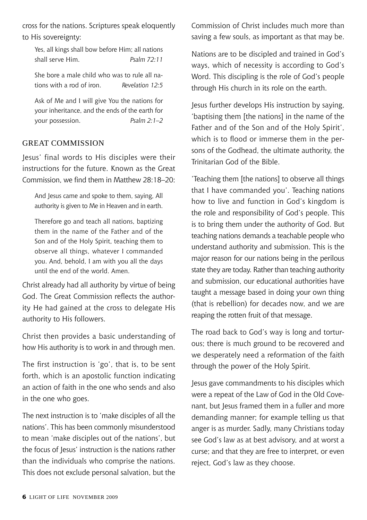cross for the nations. Scriptures speak eloquently to His sovereignty:

Yes, all kings shall bow before Him; all nations shall serve Him. *Psalm 72:11*

She bore a male child who was to rule all nations with a rod of iron. *Revelation 12:5*

Ask of Me and I will give You the nations for your inheritance, and the ends of the earth for your possession. *Psalm 2:1–2*

#### Great Commission

Jesus' final words to His disciples were their instructions for the future. Known as the Great Commission, we find them in Matthew 28:18–20:

And Jesus came and spoke to them, saying, All authority is given to Me in Heaven and in earth.

Therefore go and teach all nations, baptizing them in the name of the Father and of the Son and of the Holy Spirit, teaching them to observe all things, whatever I commanded you. And, behold, I am with you all the days until the end of the world. Amen.

Christ already had all authority by virtue of being God. The Great Commission reflects the authority He had gained at the cross to delegate His authority to His followers.

Christ then provides a basic understanding of how His authority is to work in and through men.

The first instruction is 'go', that is, to be sent forth, which is an apostolic function indicating an action of faith in the one who sends and also in the one who goes.

The next instruction is to 'make disciples of all the nations'. This has been commonly misunderstood to mean 'make disciples out of the nations', but the focus of Jesus' instruction is the nations rather than the individuals who comprise the nations. This does not exclude personal salvation, but the

Commission of Christ includes much more than saving a few souls, as important as that may be.

Nations are to be discipled and trained in God's ways, which of necessity is according to God's Word. This discipling is the role of God's people through His church in its role on the earth.

Jesus further develops His instruction by saying, 'baptising them [the nations] in the name of the Father and of the Son and of the Holy Spirit', which is to flood or immerse them in the persons of the Godhead, the ultimate authority, the Trinitarian God of the Bible.

'Teaching them [the nations] to observe all things that I have commanded you'. Teaching nations how to live and function in God's kingdom is the role and responsibility of God's people. This is to bring them under the authority of God. But teaching nations demands a teachable people who understand authority and submission. This is the major reason for our nations being in the perilous state they are today. Rather than teaching authority and submission, our educational authorities have taught a message based in doing your own thing (that is rebellion) for decades now, and we are reaping the rotten fruit of that message.

The road back to God's way is long and torturous; there is much ground to be recovered and we desperately need a reformation of the faith through the power of the Holy Spirit.

Jesus gave commandments to his disciples which were a repeat of the Law of God in the Old Covenant, but Jesus framed them in a fuller and more demanding manner; for example telling us that anger is as murder. Sadly, many Christians today see God's law as at best advisory, and at worst a curse; and that they are free to interpret, or even reject, God's law as they choose.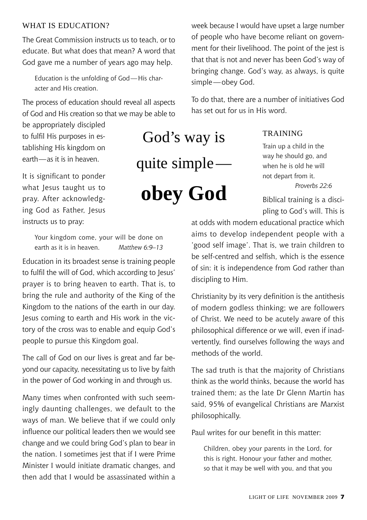#### WHAT IS EDUCATION?

The Great Commission instructs us to teach, or to educate. But what does that mean? A word that God gave me a number of years ago may help.

Education is the unfolding of God—His character and His creation.

The process of education should reveal all aspects of God and His creation so that we may be able to

be appropriately discipled to fulfil His purposes in establishing His kingdom on earth—as it is in heaven.

It is significant to ponder what Jesus taught us to pray. After acknowledging God as Father, Jesus instructs us to pray:

God's way is quite simple **obey God**

week because I would have upset a large number of people who have become reliant on government for their livelihood. The point of the jest is that that is not and never has been God's way of bringing change. God's way, as always, is quite simple—obey God.

To do that, there are a number of initiatives God has set out for us in His word.

#### **TRAINING**

Train up a child in the way he should go, and when he is old he will not depart from it. *Proverbs 22:6*

Biblical training is a discipling to God's will. This is

Your kingdom come, your will be done on earth as it is in heaven. *Matthew 6:9–13*

Education in its broadest sense is training people to fulfil the will of God, which according to Jesus' prayer is to bring heaven to earth. That is, to bring the rule and authority of the King of the Kingdom to the nations of the earth in our day. Jesus coming to earth and His work in the victory of the cross was to enable and equip God's people to pursue this Kingdom goal.

The call of God on our lives is great and far beyond our capacity, necessitating us to live by faith in the power of God working in and through us.

Many times when confronted with such seemingly daunting challenges, we default to the ways of man. We believe that if we could only influence our political leaders then we would see change and we could bring God's plan to bear in the nation. I sometimes jest that if I were Prime Minister I would initiate dramatic changes, and then add that I would be assassinated within a

at odds with modern educational practice which aims to develop independent people with a 'good self image'. That is, we train children to be self-centred and selfish, which is the essence of sin: it is independence from God rather than discipling to Him.

Christianity by its very definition is the antithesis of modern godless thinking; we are followers of Christ. We need to be acutely aware of this philosophical difference or we will, even if inadvertently, find ourselves following the ways and methods of the world.

The sad truth is that the majority of Christians think as the world thinks, because the world has trained them; as the late Dr Glenn Martin has said, 95% of evangelical Christians are Marxist philosophically.

Paul writes for our benefit in this matter:

Children, obey your parents in the Lord, for this is right. Honour your father and mother, so that it may be well with you, and that you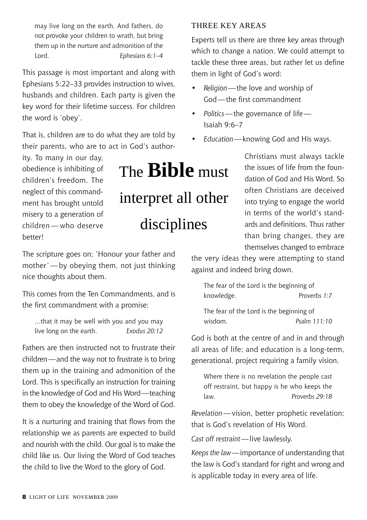may live long on the earth. And fathers, do not provoke your children to wrath, but bring them up in the nurture and admonition of the Lord. *Ephesians 6:1–4*

This passage is most important and along with Ephesians 5:22–33 provides instruction to wives, husbands and children. Each party is given the key word for their lifetime success. For children the word is 'obey'.

That is, children are to do what they are told by their parents, who are to act in God's author-

ity. To many in our day, obedience is inhibiting of children's freedom. The neglect of this commandment has brought untold misery to a generation of children — who deserve better!

## The **Bible** must interpret all other disciplines

The scripture goes on; 'Honour your father and mother'—by obeying them, not just thinking nice thoughts about them.

This comes from the Ten Commandments, and is the first commandment with a promise:

…that it may be well with you and you may live long on the earth. *Exodus 20:12*

Fathers are then instructed not to frustrate their children—and the way not to frustrate is to bring them up in the training and admonition of the Lord. This is specifically an instruction for training in the knowledge of God and His Word—teaching them to obey the knowledge of the Word of God.

It is a nurturing and training that flows from the relationship we as parents are expected to build and nourish with the child. Our goal is to make the child like us. Our living the Word of God teaches the child to live the Word to the glory of God.

#### Three Key Areas

Experts tell us there are three key areas through which to change a nation. We could attempt to tackle these three areas, but rather let us define them in light of God's word:

- *Religion*—the love and worship of God—the first commandment
- *Politics*—the governance of life— Isaiah 9:6–7
- *Education*—knowing God and His ways.

Christians must always tackle the issues of life from the foundation of God and His Word. So often Christians are deceived into trying to engage the world in terms of the world's standards and definitions. Thus rather than bring changes, they are themselves changed to embrace

the very ideas they were attempting to stand against and indeed bring down.

The fear of the Lord is the beginning of knowledge. *Proverbs 1:7*

The fear of the Lord is the beginning of wisdom. *Psalm 111:10*

God is both at the centre of and in and through all areas of life; and education is a long-term, generational, project requiring a family vision.

Where there is no revelation the people cast off restraint, but happy is he who keeps the law. *Proverbs 29:18*

*Revelation*—vision, better prophetic revelation; that is God's revelation of His Word.

*Cast off restraint*—live lawlessly.

*Keeps the law*—importance of understanding that the law is God's standard for right and wrong and is applicable today in every area of life.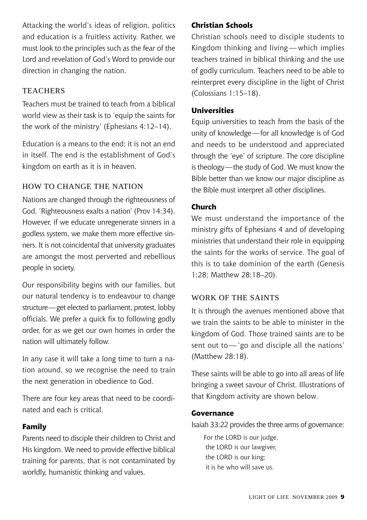Attacking the world's ideas of religion, politics and education is a fruitless activity. Rather, we must look to the principles such as the fear of the Lord and revelation of God's Word to provide our direction in changing the nation.

#### **TEACHERS**

Teachers must be trained to teach from a biblical world view as their task is to 'equip the saints for the work of the ministry' (Ephesians 4:12–14).

Education is a means to the end; it is not an end in itself. The end is the establishment of God's kingdom on earth as it is in heaven.

#### How to Change the Nation

Nations are changed through the righteousness of God. 'Righteousness exalts a nation' (Prov 14:34). However, if we educate unregenerate sinners in a godless system, we make them more effective sinners. It is not coincidental that university graduates are amongst the most perverted and rebellious people in society.

Our responsibility begins with our families, but our natural tendency is to endeavour to change structure—get elected to parliament, protest, lobby officials. We prefer a quick fix to following godly order, for as we get our own homes in order the nation will ultimately follow.

In any case it will take a long time to turn a nation around, so we recognise the need to train the next generation in obedience to God.

There are four key areas that need to be coordinated and each is critical.

#### **Family**

Parents need to disciple their children to Christ and His kingdom. We need to provide effective biblical training for parents, that is not contaminated by worldly, humanistic thinking and values.

#### **Christian Schools**

Christian schools need to disciple students to Kingdom thinking and living — which implies teachers trained in biblical thinking and the use of godly curriculum. Teachers need to be able to reinterpret every discipline in the light of Christ (Colossians 1:15–18).

#### **Universities**

Equip universities to teach from the basis of the unity of knowledge—for all knowledge is of God and needs to be understood and appreciated through the 'eye' of scripture. The core discipline is theology—the study of God. We must know the Bible better than we know our major discipline as the Bible must interpret all other disciplines.

#### **Church**

We must understand the importance of the ministry gifts of Ephesians 4 and of developing ministries that understand their role in equipping the saints for the works of service. The goal of this is to take dominion of the earth (Genesis 1:28; Matthew 28:18–20).

#### Work of the Saints

It is through the avenues mentioned above that we train the saints to be able to minister in the kingdom of God. Those trained saints are to be sent out to — 'go and disciple all the nations' (Matthew 28:18).

These saints will be able to go into all areas of life bringing a sweet savour of Christ. Illustrations of that Kingdom activity are shown below.

#### **Governance**

Isaiah 33:22 provides the three arms of governance:

For the LORD is our judge. the LORD is our lawgiver, the LORD is our king; it is he who will save us.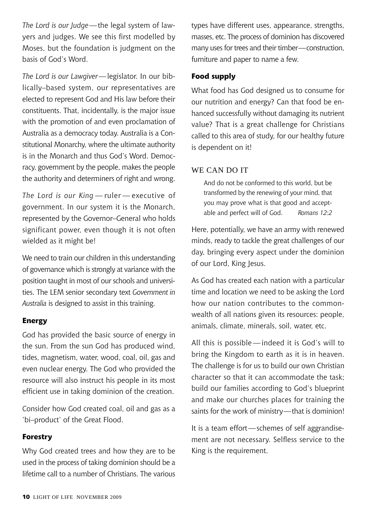*The Lord is our Judge*—the legal system of lawyers and judges. We see this first modelled by Moses, but the foundation is judgment on the basis of God's Word.

*The Lord is our Lawgiver*—legislator. In our biblically–based system, our representatives are elected to represent God and His law before their constituents. That, incidentally, is the major issue with the promotion of and even proclamation of Australia as a democracy today. Australia is a Constitutional Monarchy, where the ultimate authority is in the Monarch and thus God's Word. Democracy, government by the people, makes the people the authority and determiners of right and wrong.

*The Lord is our King* — ruler — executive of government. In our system it is the Monarch, represented by the Governor–General who holds significant power, even though it is not often wielded as it might be!

We need to train our children in this understanding of governance which is strongly at variance with the position taught in most of our schools and universities. The LEM senior secondary text *Government in Australia* is designed to assist in this training.

#### **Energy**

God has provided the basic source of energy in the sun. From the sun God has produced wind, tides, magnetism, water, wood, coal, oil, gas and even nuclear energy. The God who provided the resource will also instruct his people in its most efficient use in taking dominion of the creation.

Consider how God created coal, oil and gas as a 'bi–product' of the Great Flood.

#### **Forestry**

Why God created trees and how they are to be used in the process of taking dominion should be a lifetime call to a number of Christians. The various types have different uses, appearance, strengths, masses, etc. The process of dominion has discovered many uses for trees and their timber—construction, furniture and paper to name a few.

#### **Food supply**

What food has God designed us to consume for our nutrition and energy? Can that food be enhanced successfully without damaging its nutrient value? That is a great challenge for Christians called to this area of study, for our healthy future is dependent on it!

#### WE CAN DO IT

And do not be conformed to this world, but be transformed by the renewing of your mind, that you may prove what is that good and acceptable and perfect will of God. *Romans 12:2*

Here, potentially, we have an army with renewed minds, ready to tackle the great challenges of our day, bringing every aspect under the dominion of our Lord, King Jesus.

As God has created each nation with a particular time and location we need to be asking the Lord how our nation contributes to the commonwealth of all nations given its resources: people, animals, climate, minerals, soil, water, etc.

All this is possible — indeed it is God's will to bring the Kingdom to earth as it is in heaven. The challenge is for us to build our own Christian character so that it can accommodate the task; build our families according to God's blueprint and make our churches places for training the saints for the work of ministry—that is dominion!

It is a team effort—schemes of self aggrandisement are not necessary. Selfless service to the King is the requirement.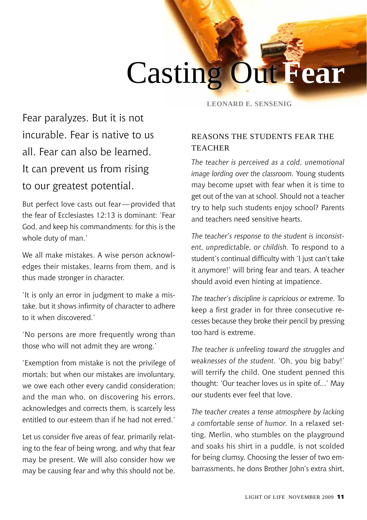# Casting Out **Fear**

Fear paralyzes. But it is not incurable. Fear is native to us all. Fear can also be learned. It can prevent us from rising to our greatest potential.

But perfect love casts out fear—provided that the fear of Ecclesiastes 12:13 is dominant: 'Fear God, and keep his commandments: for this is the whole duty of man.'

We all make mistakes. A wise person acknowledges their mistakes, learns from them, and is thus made stronger in character.

'It is only an error in judgment to make a mistake, but it shows infirmity of character to adhere to it when discovered.'

'No persons are more frequently wrong than those who will not admit they are wrong.'

'Exemption from mistake is not the privilege of mortals; but when our mistakes are involuntary, we owe each other every candid consideration; and the man who, on discovering his errors, acknowledges and corrects them, is scarcely less entitled to our esteem than if he had not erred.'

Let us consider five areas of fear, primarily relating to the fear of being wrong, and why that fear may be present. We will also consider how we may be causing fear and why this should not be. **y Leonard E. Sensenig**

#### Reasons the Students Fear the **TEACHER**

*The teacher is perceived as a cold, unemotional image lording over the classroom.* Young students may become upset with fear when it is time to get out of the van at school. Should not a teacher try to help such students enjoy school? Parents and teachers need sensitive hearts.

*The teacher's response to the student is inconsistent, unpredictable, or childish.* To respond to a student's continual difficulty with 'I just can't take it anymore!' will bring fear and tears. A teacher should avoid even hinting at impatience.

*The teacher's discipline is capricious or extreme.* To keep a first grader in for three consecutive recesses because they broke their pencil by pressing too hard is extreme.

*The teacher is unfeeling toward the struggles and weaknesses of the student.* 'Oh, you big baby!' will terrify the child. One student penned this thought: 'Our teacher loves us in spite of...' May our students ever feel that love.

*The teacher creates a tense atmosphere by lacking a comfortable sense of humor.* In a relaxed setting, Merlin, who stumbles on the playground and soaks his shirt in a puddle, is not scolded for being clumsy. Choosing the lesser of two embarrassments, he dons Brother John's extra shirt,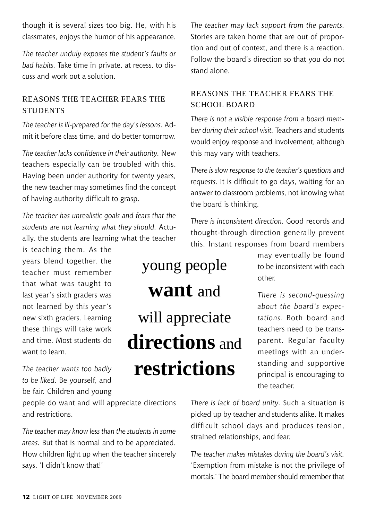though it is several sizes too big. He, with his classmates, enjoys the humor of his appearance.

*The teacher unduly exposes the student's faults or bad habits.* Take time in private, at recess, to discuss and work out a solution.

#### Reasons the Teacher Fears the **STUDENTS**

*The teacher is ill-prepared for the day's lessons.* Admit it before class time, and do better tomorrow.

*The teacher lacks confidence in their authority.* New teachers especially can be troubled with this. Having been under authority for twenty years, the new teacher may sometimes find the concept of having authority difficult to grasp.

*The teacher has unrealistic goals and fears that the students are not learning what they should.* Actually, the students are learning what the teacher

is teaching them. As the years blend together, the teacher must remember that what was taught to last year's sixth graders was not learned by this year's new sixth graders. Learning these things will take work and time. Most students do want to learn.

*The teacher wants too badly to be liked.* Be yourself, and be fair. Children and young

people do want and will appreciate directions and restrictions.

*The teacher may know less than the students in some areas.* But that is normal and to be appreciated. How children light up when the teacher sincerely says, 'I didn't know that!'

*The teacher may lack support from the parents.*  Stories are taken home that are out of proportion and out of context, and there is a reaction. Follow the board's direction so that you do not stand alone.

#### Reasons the Teacher Fears the SCHOOL BOARD

*There is not a visible response from a board member during their school visit.* Teachers and students would enjoy response and involvement, although this may vary with teachers.

*There is slow response to the teacher's questions and requests.* It is difficult to go days, waiting for an answer to classroom problems, not knowing what the board is thinking.

*There is inconsistent direction.* Good records and thought-through direction generally prevent this. Instant responses from board members

## young people **want** and will appreciate **directions** and **restrictions**

may eventually be found to be inconsistent with each other.

*There is second-guessing about the board's expectations.* Both board and teachers need to be transparent. Regular faculty meetings with an understanding and supportive principal is encouraging to the teacher.

*There is lack of board unity.* Such a situation is picked up by teacher and students alike. It makes difficult school days and produces tension, strained relationships, and fear.

*The teacher makes mistakes during the board's visit.* 'Exemption from mistake is not the privilege of mortals.' The board member should remember that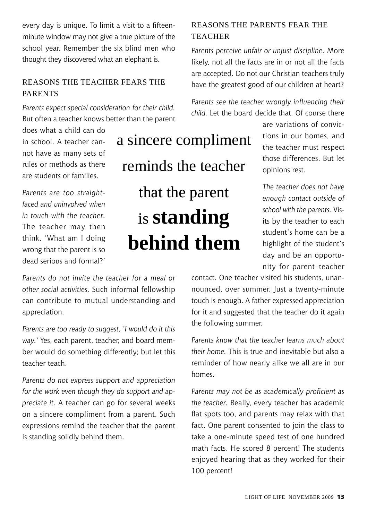every day is unique. To limit a visit to a fifteenminute window may not give a true picture of the school year. Remember the six blind men who thought they discovered what an elephant is.

#### Reasons the Teacher Fears the **PARENTS**

*Parents expect special consideration for their child.*  But often a teacher knows better than the parent

does what a child can do in school. A teacher cannot have as many sets of rules or methods as there are students or families.

*Parents are too straightfaced and uninvolved when in touch with the teacher.*  The teacher may then think, 'What am I doing wrong that the parent is so dead serious and formal?'

*Parents do not invite the teacher for a meal or other social activities.* Such informal fellowship can contribute to mutual understanding and appreciation.

*Parents are too ready to suggest, 'I would do it this way.'* Yes, each parent, teacher, and board member would do something differently; but let this teacher teach.

*Parents do not express support and appreciation for the work even though they do support and appreciate it.* A teacher can go for several weeks on a sincere compliment from a parent. Such expressions remind the teacher that the parent is standing solidly behind them.

Reasons the Parents Fear the

#### **TEACHER**

*Parents perceive unfair or unjust discipline.* More likely, not all the facts are in or not all the facts are accepted. Do not our Christian teachers truly have the greatest good of our children at heart?

*Parents see the teacher wrongly influencing their child.* Let the board decide that. Of course there

> are variations of convictions in our homes, and the teacher must respect those differences. But let opinions rest.

*The teacher does not have enough contact outside of school with the parents.* Visits by the teacher to each student's home can be a highlight of the student's day and be an opportunity for parent–teacher

contact. One teacher visited his students, unannounced, over summer. Just a twenty-minute touch is enough. A father expressed appreciation for it and suggested that the teacher do it again the following summer.

*Parents know that the teacher learns much about their home.* This is true and inevitable but also a reminder of how nearly alike we all are in our homes.

*Parents may not be as academically proficient as the teacher.* Really, every teacher has academic flat spots too, and parents may relax with that fact. One parent consented to join the class to take a one-minute speed test of one hundred math facts. He scored 8 percent! The students enjoyed hearing that as they worked for their 100 percent!

reminds the teacher that the parent is **standing behind them**

a sincere compliment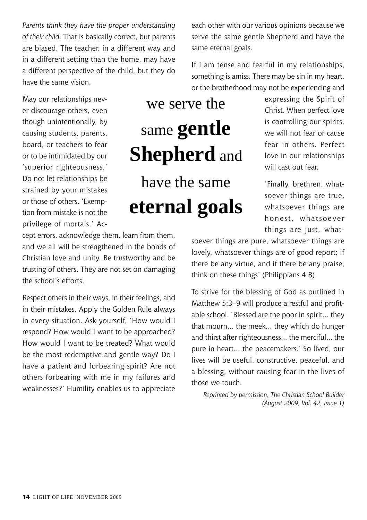*Parents think they have the proper understanding of their child.* That is basically correct, but parents are biased. The teacher, in a different way and in a different setting than the home, may have a different perspective of the child, but they do have the same vision.

May our relationships never discourage others, even though unintentionally, by causing students, parents, board, or teachers to fear or to be intimidated by our 'superior righteousness.' Do not let relationships be strained by your mistakes or those of others. 'Exemption from mistake is not the privilege of mortals.' Ac-

# we serve the same **gentle Shepherd** and

have the same **eternal goals**

expressing the Spirit of Christ. When perfect love is controlling our spirits, we will not fear or cause fear in others. Perfect love in our relationships will cast out fear.

'Finally, brethren, whatsoever things are true, whatsoever things are honest, whatsoever things are just, what-

soever things are pure, whatsoever things are lovely, whatsoever things are of good report; if there be any virtue, and if there be any praise, think on these things' (Philippians 4:8).

To strive for the blessing of God as outlined in Matthew 5:3–9 will produce a restful and profitable school. 'Blessed are the poor in spirit... they that mourn... the meek... they which do hunger and thirst after righteousness... the merciful... the pure in heart... the peacemakers.' So lived, our lives will be useful, constructive, peaceful, and a blessing, without causing fear in the lives of those we touch.

*Reprinted by permission, The Christian School Builder (August 2009, Vol. 42, Issue 1)*

cept errors, acknowledge them, learn from them, and we all will be strengthened in the bonds of Christian love and unity. Be trustworthy and be trusting of others. They are not set on damaging the school's efforts.

Respect others in their ways, in their feelings, and in their mistakes. Apply the Golden Rule always in every situation. Ask yourself, 'How would I respond? How would I want to be approached? How would I want to be treated? What would be the most redemptive and gentle way? Do I have a patient and forbearing spirit? Are not others forbearing with me in my failures and weaknesses?' Humility enables us to appreciate

each other with our various opinions because we serve the same gentle Shepherd and have the same eternal goals.

If I am tense and fearful in my relationships, something is amiss. There may be sin in my heart, or the brotherhood may not be experiencing and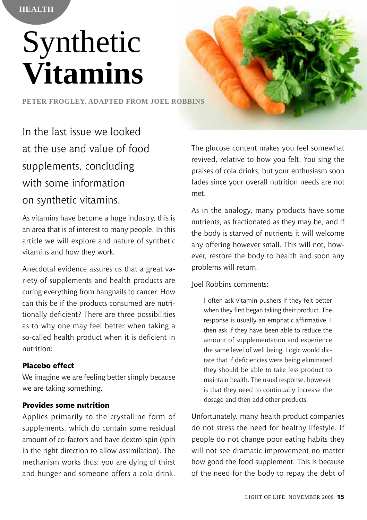# Synthetic **Vitamins**

**Peter Frogley, adapted from Joel Robbins**

In the last issue we looked at the use and value of food supplements, concluding with some information on synthetic vitamins.

As vitamins have become a huge industry, this is an area that is of interest to many people. In this article we will explore and nature of synthetic vitamins and how they work.

Anecdotal evidence assures us that a great variety of supplements and health products are curing everything from hangnails to cancer. How can this be if the products consumed are nutritionally deficient? There are three possibilities as to why one may feel better when taking a so-called health product when it is deficient in nutrition:

#### **Placebo effect**

We imagine we are feeling better simply because we are taking something.

#### **Provides some nutrition**

Applies primarily to the crystalline form of supplements, which do contain some residual amount of co-factors and have dextro-spin (spin in the right direction to allow assimilation). The mechanism works thus: you are dying of thirst and hunger and someone offers a cola drink. The glucose content makes you feel somewhat revived, relative to how you felt. You sing the praises of cola drinks, but your enthusiasm soon fades since your overall nutrition needs are not met.

As in the analogy, many products have some nutrients, as fractionated as they may be, and if the body is starved of nutrients it will welcome any offering however small. This will not, however, restore the body to health and soon any problems will return.

#### Joel Robbins comments:

I often ask vitamin pushers if they felt better when they first began taking their product. The response is usually an emphatic affirmative. I then ask if they have been able to reduce the amount of supplementation and experience the same level of well being. Logic would dictate that if deficiencies were being eliminated they should be able to take less product to maintain health. The usual response, however, is that they need to continually increase the dosage and then add other products.

Unfortunately, many health product companies do not stress the need for healthy lifestyle. If people do not change poor eating habits they will not see dramatic improvement no matter how good the food supplement. This is because of the need for the body to repay the debt of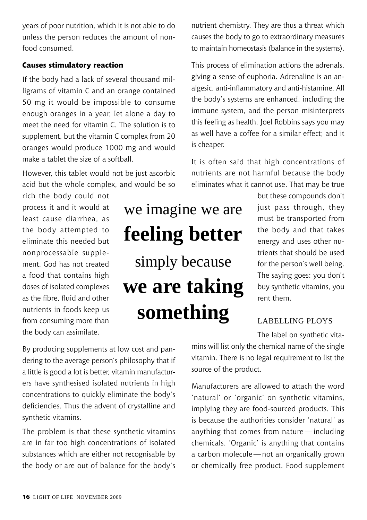years of poor nutrition, which it is not able to do unless the person reduces the amount of nonfood consumed.

#### **Causes stimulatory reaction**

If the body had a lack of several thousand milligrams of vitamin C and an orange contained 50 mg it would be impossible to consume enough oranges in a year, let alone a day to meet the need for vitamin C. The solution is to supplement, but the vitamin C complex from 20 oranges would produce 1000 mg and would make a tablet the size of a softball.

However, this tablet would not be just ascorbic acid but the whole complex, and would be so

rich the body could not process it and it would at least cause diarrhea, as the body attempted to eliminate this needed but nonprocessable supplement. God has not created a food that contains high doses of isolated complexes as the fibre, fluid and other nutrients in foods keep us from consuming more than the body can assimilate.

we imagine we are **feeling better** simply because **we are taking something**

nutrient chemistry. They are thus a threat which causes the body to go to extraordinary measures to maintain homeostasis (balance in the systems).

This process of elimination actions the adrenals, giving a sense of euphoria. Adrenaline is an analgesic, anti-inflammatory and anti-histamine. All the body's systems are enhanced, including the immune system, and the person misinterprets this feeling as health. Joel Robbins says you may as well have a coffee for a similar effect; and it is cheaper.

It is often said that high concentrations of nutrients are not harmful because the body eliminates what it cannot use. That may be true

> but these compounds don't just pass through, they must be transported from the body and that takes energy and uses other nutrients that should be used for the person's well being. The saying goes: you don't buy synthetic vitamins, you rent them.

#### Labelling Ploys

The label on synthetic vita-

By producing supplements at low cost and pandering to the average person's philosophy that if a little is good a lot is better, vitamin manufacturers have synthesised isolated nutrients in high concentrations to quickly eliminate the body's deficiencies. Thus the advent of crystalline and synthetic vitamins.

The problem is that these synthetic vitamins are in far too high concentrations of isolated substances which are either not recognisable by the body or are out of balance for the body's

mins will list only the chemical name of the single vitamin. There is no legal requirement to list the source of the product.

Manufacturers are allowed to attach the word 'natural' or 'organic' on synthetic vitamins, implying they are food-sourced products. This is because the authorities consider 'natural' as anything that comes from nature — including chemicals. 'Organic' is anything that contains a carbon molecule—not an organically grown or chemically free product. Food supplement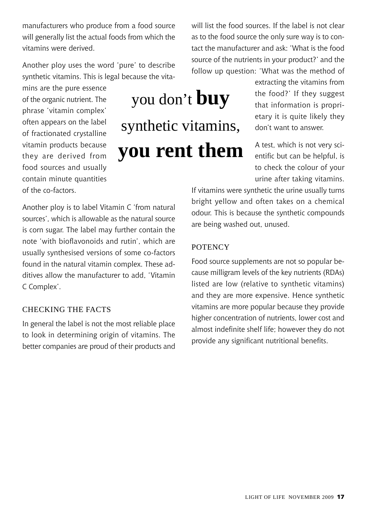manufacturers who produce from a food source will generally list the actual foods from which the vitamins were derived.

Another ploy uses the word 'pure' to describe synthetic vitamins. This is legal because the vita-

mins are the pure essence of the organic nutrient. The phrase 'vitamin complex' often appears on the label of fractionated crystalline vitamin products because they are derived from food sources and usually contain minute quantities of the co-factors.

# you don't **buy** synthetic vitamins, **you rent them**

will list the food sources. If the label is not clear as to the food source the only sure way is to contact the manufacturer and ask: 'What is the food source of the nutrients in your product?' and the follow up question: 'What was the method of

> extracting the vitamins from the food?' If they suggest that information is proprietary it is quite likely they don't want to answer.

> A test, which is not very scientific but can be helpful, is to check the colour of your urine after taking vitamins.

If vitamins were synthetic the urine usually turns bright yellow and often takes on a chemical odour. This is because the synthetic compounds are being washed out, unused.

#### **POTENCY**

Food source supplements are not so popular because milligram levels of the key nutrients (RDAs) listed are low (relative to synthetic vitamins) and they are more expensive. Hence synthetic vitamins are more popular because they provide higher concentration of nutrients, lower cost and almost indefinite shelf life; however they do not provide any significant nutritional benefits.

Another ploy is to label Vitamin C 'from natural sources', which is allowable as the natural source is corn sugar. The label may further contain the note 'with bioflavonoids and rutin', which are usually synthesised versions of some co-factors found in the natural vitamin complex. These additives allow the manufacturer to add, 'Vitamin C Complex'.

#### Checking the facts

In general the label is not the most reliable place to look in determining origin of vitamins. The better companies are proud of their products and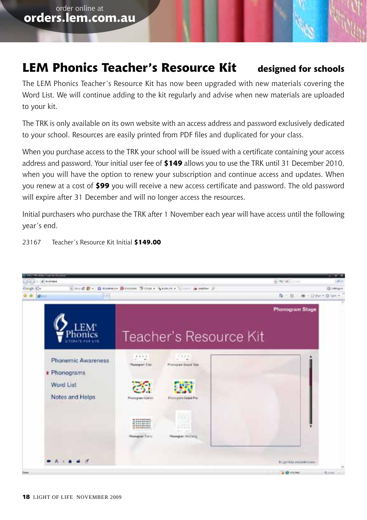### **LEM Phonics Teacher's Resource Kit designed for schools**

The LEM Phonics Teacher's Resource Kit has now been upgraded with new materials covering the Word List. We will continue adding to the kit regularly and advise when new materials are uploaded to your kit.

The TRK is only available on its own website with an access address and password exclusively dedicated to your school. Resources are easily printed from PDF files and duplicated for your class.

When you purchase access to the TRK your school will be issued with a certificate containing your access address and password. Your initial user fee of **\$149** allows you to use the TRK until 31 December 2010, when you will have the option to renew your subscription and continue access and updates. When you renew at a cost of **\$99** you will receive a new access certificate and password. The old password will expire after 31 December and will no longer access the resources.

Initial purchasers who purchase the TRK after 1 November each year will have access until the following year's end.



23167 Teacher's Resource Kit Initial **\$149.00**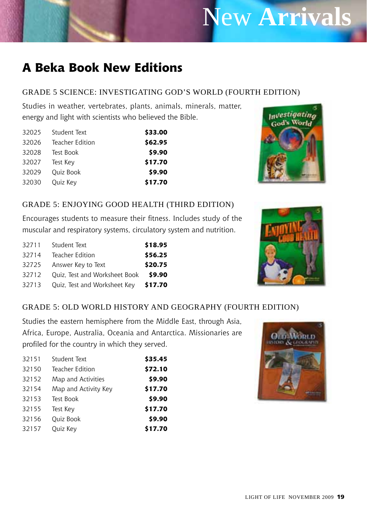# New **Arrivals**

## **A Beka Book New Editions**

#### Grade 5 Science: Investigating God's World (Fourth Edition)

Studies in weather, vertebrates, plants, animals, minerals, matter, energy and light with scientists who believed the Bible.

| \$33.00 | Student Text    | 32025 |
|---------|-----------------|-------|
| \$62.95 | Teacher Edition | 32026 |
| \$9.90  | Test Book       | 32028 |
| \$17.70 | Test Key        | 32027 |
| \$9.90  | Ouiz Book       | 32029 |
| \$17.70 | Quiz Key        | 32030 |



#### Grade 5: Enjoying Good Health (Third Edition)

Encourages students to measure their fitness. Includes study of the muscular and respiratory systems, circulatory system and nutrition.

| 32711 | Student Text                  | \$18.95 |
|-------|-------------------------------|---------|
| 32714 | Teacher Edition               | \$56.25 |
| 32725 | Answer Key to Text            | \$20.75 |
| 32712 | Ouiz, Test and Worksheet Book | \$9.90  |
| 32713 | Quiz, Test and Worksheet Key  | \$17.70 |



#### Grade 5: Old World History and Geography (Fourth Edition)

Studies the eastern hemisphere from the Middle East, through Asia, Africa, Europe, Australia, Oceania and Antarctica. Missionaries are profiled for the country in which they served.

| 32151 | Student Text         | \$35.45 |
|-------|----------------------|---------|
| 32150 | Teacher Edition      | \$72.10 |
| 32152 | Map and Activities   | \$9.90  |
| 32154 | Map and Activity Key | \$17.70 |
| 32153 | Test Book            | \$9.90  |
| 32155 | Test Key             | \$17.70 |
| 32156 | <b>Ouiz Book</b>     | \$9.90  |
| 32157 | Ouiz Key             | \$17.70 |
|       |                      |         |

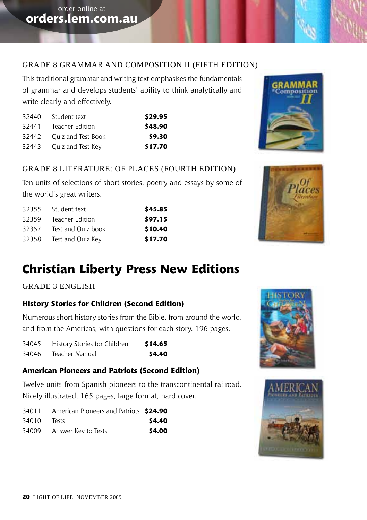#### Grade 8 Grammar and Composition II (Fifth Edition)

This traditional grammar and writing text emphasises the fundamentals of grammar and develops students' ability to think analytically and write clearly and effectively.

| \$29.95 | Student text       | 32440 |
|---------|--------------------|-------|
| \$48.90 | Teacher Edition    | 32441 |
| \$9.30  | Ouiz and Test Book | 32442 |
| \$17.70 | Quiz and Test Key  | 32443 |

#### Grade 8 Literature: Of Places (Fourth Edition)

Ten units of selections of short stories, poetry and essays by some of the world's great writers.

| \$45.85 | Student text       | 32355 |
|---------|--------------------|-------|
| \$97.15 | Teacher Edition    | 32359 |
| \$10.40 | Test and Ouiz book | 32357 |
| \$17.70 | Test and Ouiz Key  | 32358 |

### **Christian Liberty Press New Editions**

#### Grade 3 English

#### **History Stories for Children (Second Edition)**

Numerous short history stories from the Bible, from around the world, and from the Americas, with questions for each story. 196 pages.

34045 History Stories for Children **\$14.65** 34046 Teacher Manual **\$4.40**

#### **American Pioneers and Patriots (Second Edition)**

Twelve units from Spanish pioneers to the transcontinental railroad. Nicely illustrated, 165 pages, large format, hard cover.

| 34011 | American Pioneers and Patriots \$24.90 |        |
|-------|----------------------------------------|--------|
| 34010 | lests                                  | \$4.40 |
| 34009 | Answer Key to Tests                    | \$4.00 |







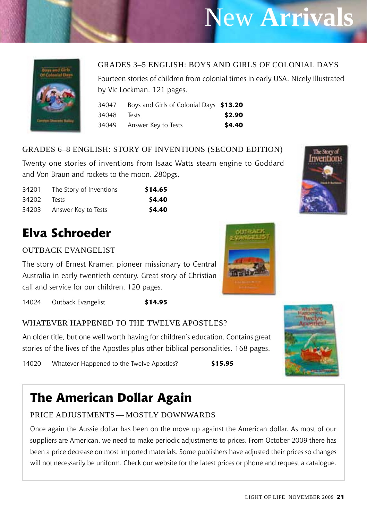# New **Arrivals**



#### Grades 3–5 English: Boys and Girls of Colonial Days

Fourteen stories of children from colonial times in early USA. Nicely illustrated by Vic Lockman. 121 pages.

| 34047 | Boys and Girls of Colonial Days \$13.20 |        |
|-------|-----------------------------------------|--------|
| 34048 | lests                                   | \$2.90 |
| 34049 | Answer Key to Tests                     | \$4.40 |

#### Grades 6–8 English: Story of Inventions (Second Edition)

Twenty one stories of inventions from Isaac Watts steam engine to Goddard and Von Braun and rockets to the moon. 280pgs.

| 34201 | The Story of Inventions | \$14.65 |
|-------|-------------------------|---------|
| 34202 | Tests                   | \$4.40  |
| 34203 | Answer Key to Tests     | \$4.40  |

### **Elva Schroeder**

#### OUTBACK EVANGELIST

The story of Ernest Kramer, pioneer missionary to Central Australia in early twentieth century. Great story of Christian call and service for our children. 120 pages.

14024 Outback Evangelist **\$14.95**

#### WHATEVER HAPPENED TO THE TWELVE APOSTLES?

An older title, but one well worth having for children's education. Contains great stories of the lives of the Apostles plus other biblical personalities. 168 pages.

14020 Whatever Happened to the Twelve Apostles? **\$15.95**

### **The American Dollar Again**

#### Price adjustments — mostly downwards

Once again the Aussie dollar has been on the move up against the American dollar. As most of our suppliers are American, we need to make periodic adjustments to prices. From October 2009 there has been a price decrease on most imported materials. Some publishers have adjusted their prices so changes will not necessarily be uniform. Check our website for the latest prices or phone and request a catalogue.





The Story of nventions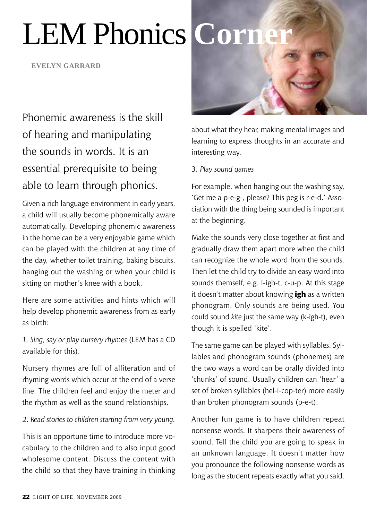# LEM Phonics **Corn**

**Evelyn garrard**

Phonemic awareness is the skill of hearing and manipulating the sounds in words. It is an essential prerequisite to being able to learn through phonics.

Given a rich language environment in early years, a child will usually become phonemically aware automatically. Developing phonemic awareness in the home can be a very enjoyable game which can be played with the children at any time of the day, whether toilet training, baking biscuits, hanging out the washing or when your child is sitting on mother's knee with a book.

Here are some activities and hints which will help develop phonemic awareness from as early as birth:

*1. Sing, say or play nursery rhymes* (LEM has a CD available for this).

Nursery rhymes are full of alliteration and of rhyming words which occur at the end of a verse line. The children feel and enjoy the meter and the rhythm as well as the sound relationships.

2. *Read stories to children starting from very young.* 

This is an opportune time to introduce more vocabulary to the children and to also input good wholesome content. Discuss the content with the child so that they have training in thinking



about what they hear, making mental images and learning to express thoughts in an accurate and interesting way.

#### 3. *Play sound games*

For example, when hanging out the washing say, 'Get me a p-e-g-, please? This peg is r-e-d.' Association with the thing being sounded is important at the beginning.

Make the sounds very close together at first and gradually draw them apart more when the child can recognize the whole word from the sounds. Then let the child try to divide an easy word into sounds themself, e.g. l-igh-t, c-u-p. At this stage it doesn't matter about knowing **igh** as a written phonogram. Only sounds are being used. You could sound *kite* just the same way (k-igh-t), even though it is spelled 'kite'.

The same game can be played with syllables. Syllables and phonogram sounds (phonemes) are the two ways a word can be orally divided into 'chunks' of sound. Usually children can 'hear' a set of broken syllables (hel-i-cop-ter) more easily than broken phonogram sounds (p-e-t).

Another fun game is to have children repeat nonsense words. It sharpens their awareness of sound. Tell the child you are going to speak in an unknown language. It doesn't matter how you pronounce the following nonsense words as long as the student repeats exactly what you said.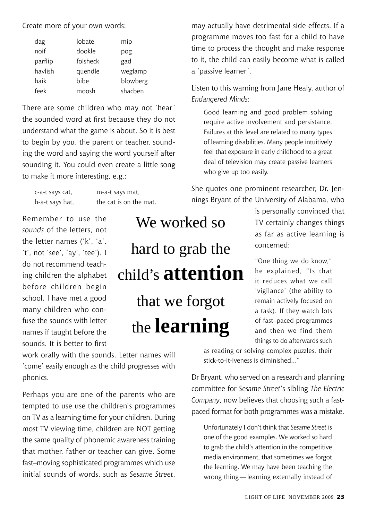Create more of your own words:

| dag     | lobate   | mip      |
|---------|----------|----------|
| noif    | dookle   | pog      |
| parflip | folsheck | gad      |
| havlish | quendle  | weglamp  |
| haik    | bibe     | blowberg |
| feek    | moosh    | shachen  |

There are some children who may not 'hear' the sounded word at first because they do not understand what the game is about. So it is best to begin by you, the parent or teacher, sounding the word and saying the word yourself after sounding it. You could even create a little song to make it more interesting, e.g.:

| c-a-t says cat, | m-a-t says mat,        |
|-----------------|------------------------|
| h-a-t says hat, | the cat is on the mat. |

Remember to use the *sounds* of the letters, not the letter names ('k', 'a', 't', not 'see', 'ay', 'tee'). I do not recommend teaching children the alphabet before children begin school. I have met a good many children who confuse the sounds with letter names if taught before the sounds. It is better to first

We worked so hard to grab the child's **attention** that we forgot the **learning**

work orally with the sounds. Letter names will 'come' easily enough as the child progresses with phonics.

Perhaps you are one of the parents who are tempted to use use the children's programmes on TV as a learning time for your children. During most TV viewing time, children are NOT getting the same quality of phonemic awareness training that mother, father or teacher can give. Some fast–moving sophisticated programmes which use initial sounds of words, such as *Sesame Street*,

may actually have detrimental side effects. If a programme moves too fast for a child to have time to process the thought and make response to it, the child can easily become what is called a 'passive learner'.

Listen to this warning from Jane Healy, author of *Endangered Minds*:

Good learning and good problem solving require active involvement and persistance. Failures at this level are related to many types of learning disabilities. Many people intuitively feel that exposure in early childhood to a great deal of television may create passive learners who give up too easily.

She quotes one prominent researcher, Dr. Jennings Bryant of the University of Alabama, who

> is personally convinced that TV certainly changes things as far as active learning is concerned:

"One thing we do know," he explained, "Is that it reduces what we call 'vigilance' (the ability to remain actively focused on a task). If they watch lots of fast–paced programmes and then we find them things to do afterwards such

as reading or solving complex puzzles, their stick-to-it-iveness is diminished..."

Dr Bryant, who served on a research and planning committee for *Sesame Street*'s sibling *The Electric Company*, now believes that choosing such a fastpaced format for both programmes was a mistake.

Unfortunately I don't think that *Sesame Street* is one of the good examples. We worked so hard to grab the child's attention in the competitive media environment, that sometimes we forgot the learning. We may have been teaching the wrong thing—learning externally instead of